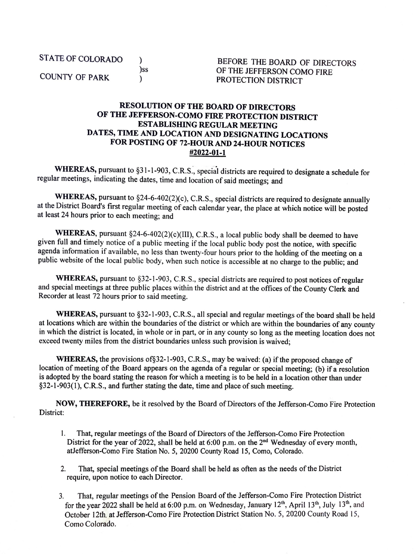STATE OF COLORADO

) )ss  $\lambda$ 

COUNTY OF PARK

BEFORE THE BOARD OF DIRECTORS OF THE JEFFERSON COMO FIRE PROTECTION DISTRICT

## **RESOLUTION OF THE BOARD OF DIRECTORS OF THE JEFFERSON-COMO FIRE PROTECTION DISTRICT ESTABLISHING REGULAR MEETING DATES, TIME AND LOCATION AND DESIGNATING LOCATIONS FOR POSTING OF 72-HOUR AND 24-HOUR NOTICES #2022-01-1**

WHEREAS, pursuant to §31-1-903, C.R.S., special districts are required to designate a schedule for regular meetings, indicating the dates, time and location of said meetings; and

**WHEREAS,** pursuant to §24-6-402(2)(c), C.R.S., special districts are required to designate annually at the District Board's first regular meeting of each calendar year, the place at which notice will be posted at least 24 hours prior to each meeting; and

WHEREAS, pursuant §24-6-402(2)(c)(III), C.R.S., a local public body shall be deemed to have given full and timely notice of a public meeting if the local public body post the notice, with specific agenda information if available, no less than twenty-four hours prior to the holding of the meeting on a public website of the local public body, when such notice is accessible at no charge to the public; and

WHEREAS, pursuant to §32-1-903, C.R.S., special districts are required to post notices of regular and special meetings at three public places within the district and at the offices of the County Clerk and Recorder at least 72 hours prior to said meeting.

**WHEREAS,** pursuant to §32-1-903, C.R.S., all special and regular meetings of the board shall be held at locations which are within the boundaries of the district or which are within the boundaries of any county in which the district is located, in whole or in part, or in any county so long as the meeting location does not exceed twenty miles from the district boundaries unless such provision is waived;

**WHEREAS,** the provisions of§32-1-903, C.R.S., may be waived: (a) if the proposed change of location of meeting of the Board appears on the agenda of a regular or special meeting; (b) if a resolution is adopted by the board stating the reason for which a meeting is to be held in a location other than under §32-1-903(1 ), C.R.S., and further stating the date, time and place of such meeting.

**NOW, THEREFORE,** be it resolved by the Board of Directors of the Jefferson-Como Fire Protection District:

- 1. That, regular meetings of the Board of Directors of the Jefferson-Como Fire Protection District for the year of 2022, shall be held at 6:00 p.m. on the 2<sup>nd</sup> Wednesday of every month, atJefferson-Como Fire Station No. 5, 20200 County Road 15, Como, Colorado.
- 2. That, special meetings of the Board shall be held as often as the needs of the District require, upon notice to each Director.
- 3. That, regular meetings of the Pension Board of the Jefferson-Como Fire Protection District for the year 2022 shall be held at 6:00 p.m. on Wednesday, January 12<sup>th</sup>, April 13<sup>th</sup>, July 13<sup>th</sup>, and October 12th, at Jefferson-Como Fire Protection District Station No. 5, 20200 County Road 15, Como Colorado.